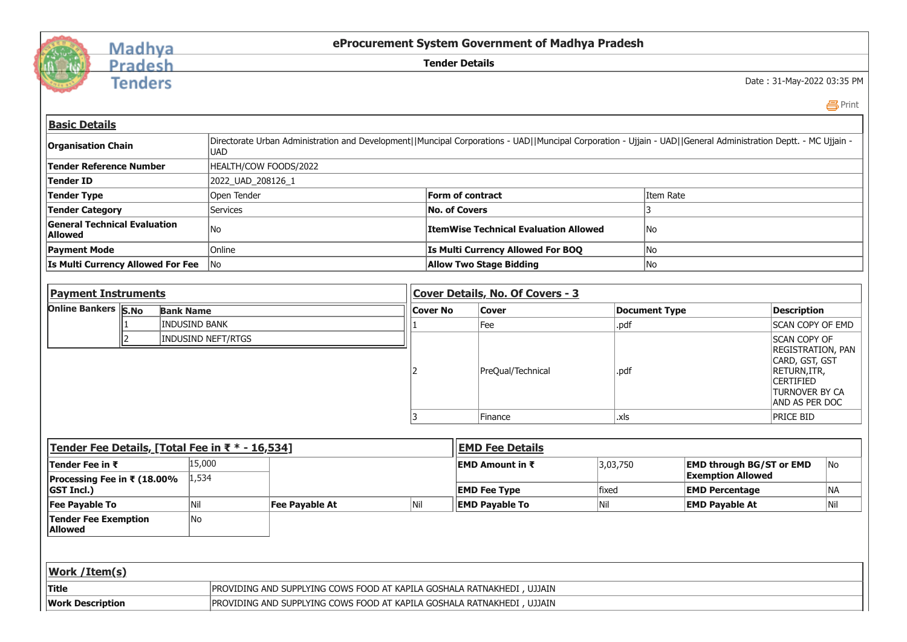

## Madhya<br>Pradesh

**Tenders** 

**eProcurement System Government of Madhya Pradesh**

**Tender Details**

Date : 31-May-2022 03:35 PM

Print

| <b>Basic Details</b>                                                                              |     |                           |                                                                                                                                                                 |     |                                           |                                              |          |                      |                                                             |                                                                                                |  |  |
|---------------------------------------------------------------------------------------------------|-----|---------------------------|-----------------------------------------------------------------------------------------------------------------------------------------------------------------|-----|-------------------------------------------|----------------------------------------------|----------|----------------------|-------------------------------------------------------------|------------------------------------------------------------------------------------------------|--|--|
| <b>Organisation Chain</b>                                                                         |     | <b>UAD</b>                | Directorate Urban Administration and Development  Muncipal Corporations - UAD  Muncipal Corporation - Ujjain - UAD  General Administration Deptt. - MC Ujjain - |     |                                           |                                              |          |                      |                                                             |                                                                                                |  |  |
| <b>Tender Reference Number</b>                                                                    |     |                           | HEALTH/COW FOODS/2022                                                                                                                                           |     |                                           |                                              |          |                      |                                                             |                                                                                                |  |  |
| <b>Tender ID</b>                                                                                  |     |                           | 2022_UAD_208126_1                                                                                                                                               |     |                                           |                                              |          |                      |                                                             |                                                                                                |  |  |
| <b>Tender Type</b>                                                                                |     |                           | Open Tender                                                                                                                                                     |     |                                           | <b>Form of contract</b>                      |          | Item Rate            |                                                             |                                                                                                |  |  |
| <b>Tender Category</b>                                                                            |     | <b>Services</b>           |                                                                                                                                                                 |     |                                           | <b>No. of Covers</b>                         |          | 3                    |                                                             |                                                                                                |  |  |
| <b>General Technical Evaluation</b><br><b>Allowed</b>                                             |     | No                        |                                                                                                                                                                 |     |                                           | <b>ItemWise Technical Evaluation Allowed</b> |          | No                   |                                                             |                                                                                                |  |  |
| <b>Payment Mode</b>                                                                               |     | Online                    |                                                                                                                                                                 |     |                                           | Is Multi Currency Allowed For BOQ            |          | No                   |                                                             |                                                                                                |  |  |
| Is Multi Currency Allowed For Fee                                                                 |     | lNo                       |                                                                                                                                                                 |     |                                           | <b>Allow Two Stage Bidding</b>               |          | No                   |                                                             |                                                                                                |  |  |
|                                                                                                   |     |                           |                                                                                                                                                                 |     |                                           |                                              |          |                      |                                                             |                                                                                                |  |  |
| <b>Payment Instruments</b>                                                                        |     |                           |                                                                                                                                                                 |     | Cover Details, No. Of Covers - 3          |                                              |          |                      |                                                             |                                                                                                |  |  |
| <b>Online Bankers S.No</b>                                                                        |     | <b>Bank Name</b>          |                                                                                                                                                                 |     | <b>Cover No</b>                           | <b>Cover</b>                                 |          | <b>Document Type</b> |                                                             | <b>Description</b>                                                                             |  |  |
|                                                                                                   |     | <b>INDUSIND BANK</b>      |                                                                                                                                                                 |     |                                           | Fee                                          | .pdf     |                      |                                                             | <b>SCAN COPY OF EMD</b>                                                                        |  |  |
|                                                                                                   | 12. | <b>INDUSIND NEFT/RTGS</b> |                                                                                                                                                                 |     |                                           | PreQual/Technical<br>.pdf                    |          |                      | <b>SCAN COPY OF</b><br><b>CERTIFIED</b>                     | REGISTRATION, PAN<br>CARD, GST, GST<br>RETURN, ITR,<br><b>TURNOVER BY CA</b><br>AND AS PER DOC |  |  |
|                                                                                                   |     |                           |                                                                                                                                                                 |     | Finance                                   |                                              | .xls     |                      | <b>PRICE BID</b>                                            |                                                                                                |  |  |
| Tender Fee Details, [Total Fee in ₹ * - 16,534]                                                   |     |                           |                                                                                                                                                                 |     |                                           | <b>EMD Fee Details</b>                       |          |                      |                                                             |                                                                                                |  |  |
| Tender Fee in ₹<br>Processing Fee in ₹ (18.00%                                                    |     | 15,000<br>1,534           |                                                                                                                                                                 |     | <b>EMD Amount in <math>\bar{x}</math></b> |                                              | 3,03,750 |                      | <b>EMD through BG/ST or EMD</b><br><b>Exemption Allowed</b> |                                                                                                |  |  |
| <b>GST Incl.)</b>                                                                                 |     |                           |                                                                                                                                                                 |     |                                           | <b>EMD Fee Type</b>                          | fixed    |                      | <b>EMD Percentage</b>                                       |                                                                                                |  |  |
| <b>Fee Payable To</b>                                                                             |     | Nil                       | <b>Fee Payable At</b>                                                                                                                                           | Nil |                                           | <b>EMD Payable To</b>                        | Nil      |                      | <b>EMD Payable At</b>                                       |                                                                                                |  |  |
| <b>Tender Fee Exemption</b><br>No<br><b>Allowed</b>                                               |     |                           |                                                                                                                                                                 |     |                                           |                                              |          |                      |                                                             |                                                                                                |  |  |
|                                                                                                   |     |                           |                                                                                                                                                                 |     |                                           |                                              |          |                      |                                                             |                                                                                                |  |  |
| Work / Item(s)                                                                                    |     |                           |                                                                                                                                                                 |     |                                           |                                              |          |                      |                                                             |                                                                                                |  |  |
| <b>Title</b><br>PROVIDING AND SUPPLYING COWS FOOD AT KAPILA GOSHALA RATNAKHEDI, UJJAIN            |     |                           |                                                                                                                                                                 |     |                                           |                                              |          |                      |                                                             |                                                                                                |  |  |
| <b>Work Description</b><br>PROVIDING AND SUPPLYING COWS FOOD AT KAPILA GOSHALA RATNAKHEDI, UJJAIN |     |                           |                                                                                                                                                                 |     |                                           |                                              |          |                      |                                                             |                                                                                                |  |  |